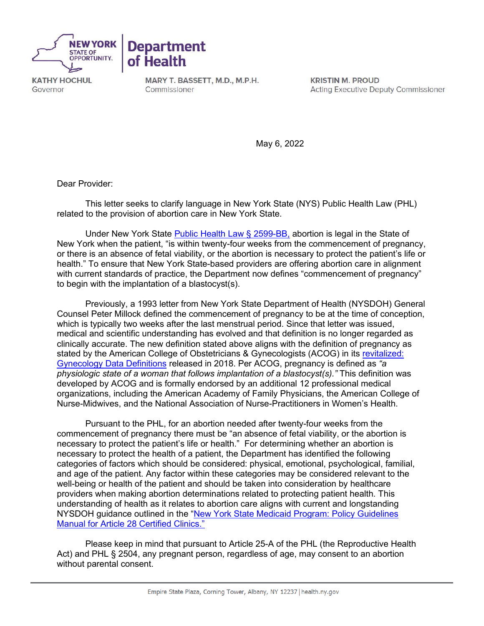



**KATHY HOCHUL** Governor

MARY T. BASSETT, M.D., M.P.H. Commissioner

**KRISTIN M. PROUD Acting Executive Deputy Commissioner** 

May 6, 2022

Dear Provider:

This letter seeks to clarify language in New York State (NYS) Public Health Law (PHL) related to the provision of abortion care in New York State.

Under New York State [Public Health Law §](https://www.nysenate.gov/legislation/laws/PBH/2599-BB) 2599-BB, abortion is legal in the State of New York when the patient, "is within twenty-four weeks from the commencement of pregnancy, or there is an absence of fetal viability, or the abortion is necessary to protect the patient's life or health." To ensure that New York State-based providers are offering abortion care in alignment with current standards of practice, the Department now defines "commencement of pregnancy" to begin with the implantation of a blastocyst(s).

Previously, a 1993 letter from New York State Department of Health (NYSDOH) General Counsel Peter Millock defined the commencement of pregnancy to be at the time of conception, which is typically two weeks after the last menstrual period. Since that letter was issued, medical and scientific understanding has evolved and that definition is no longer regarded as clinically accurate. The new definition stated above aligns with the definition of pregnancy as stated by the American College of Obstetricians & Gynecologists (ACOG) in its [revitalized:](https://www.acog.org/practice-management/health-it-and-clinical-informatics/revitalize-gynecology-data-definitions)  [Gynecology Data Definitions](https://www.acog.org/practice-management/health-it-and-clinical-informatics/revitalize-gynecology-data-definitions) released in 2018. Per ACOG, pregnancy is defined as *"a physiologic state of a woman that follows implantation of a blastocyst(s)."* This definition was developed by ACOG and is formally endorsed by an additional 12 professional medical organizations, including the American Academy of Family Physicians, the American College of Nurse-Midwives, and the National Association of Nurse-Practitioners in Women's Health.

Pursuant to the PHL, for an abortion needed after twenty-four weeks from the commencement of pregnancy there must be "an absence of fetal viability, or the abortion is necessary to protect the patient's life or health." For determining whether an abortion is necessary to protect the health of a patient, the Department has identified the following categories of factors which should be considered: physical, emotional, psychological, familial, and age of the patient. Any factor within these categories may be considered relevant to the well-being or health of the patient and should be taken into consideration by healthcare providers when making abortion determinations related to protecting patient health. This understanding of health as it relates to abortion care aligns with current and longstanding NYSDOH guidance outlined in the ["New York State Medicaid Program: Policy Guidelines](https://www.emedny.org/ProviderManuals/Clinic/PDFS/Clinic_Policy_Guidelines.pdf)  [Manual for Article 28 Certified Clinics."](https://www.emedny.org/ProviderManuals/Clinic/PDFS/Clinic_Policy_Guidelines.pdf)

Please keep in mind that pursuant to Article 25-A of the PHL (the Reproductive Health Act) and PHL § 2504, any pregnant person, regardless of age, may consent to an abortion without parental consent.